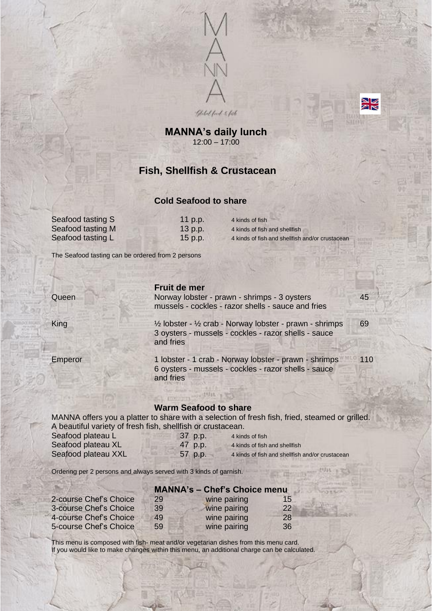



## **MANNA's daily lunch** 12:00 – 17:00

# **Fish, Shellfish & Crustacean**

#### **Cold Seafood to share**

| Seafood tasting S | $11$ p.p. | 4 kinds of fish                                 |
|-------------------|-----------|-------------------------------------------------|
| Seafood tasting M | $13$ p.p. | 4 kinds of fish and shellfish                   |
| Seafood tasting L | 15 p.p.   | 4 kinds of fish and shellfish and/or crustacean |

Queen Norway lobster - prawn - shrimps - 3 oysters 45

The Seafood tasting can be ordered from 2 persons

|  | Fruit de mer |
|--|--------------|
|--|--------------|

King  $\frac{1}{2}$  lobster - 1/2 crab - Norway lobster - prawn - shrimps 69 3 oysters - mussels - cockles - razor shells - sauce and fries

mussels - cockles - razor shells - sauce and fries

Emperor 1 lobster - 1 crab - Norway lobster - prawn - shrimps 110 6 oysters - mussels - cockles - razor shells - sauce and fries

#### **Warm Seafood to share**

MANNA offers you a platter to share with a selection of fresh fish, fried, steamed or grilled. A beautiful variety of fresh fish, shellfish or crustacean.

| Seafood plateau L   | 37 p.p. | 4 kinds of fish                                 |
|---------------------|---------|-------------------------------------------------|
| Seafood plateau XL  | 47 p.p. | 4 kinds of fish and shellfish                   |
| Seafood plateau XXL | 57 p.p. | 4 kinds of fish and shellfish and/or crustacean |

Ordering per 2 persons and always served with 3 kinds of garnish.

# **MANNA's – Chef's Choice menu**

| 2-course Chef's Choice | 29 | wine pairing | 15        |
|------------------------|----|--------------|-----------|
| 3-course Chef's Choice | 39 | wine pairing | <b>22</b> |
| 4-course Chef's Choice | 49 | wine pairing | 28        |
| 5-course Chef's Choice | 59 | wine pairing | 36        |

This menu is composed with fish- meat and/or vegetarian dishes from this menu card. If you would like to make changes within this menu, an additional charge can be calculated.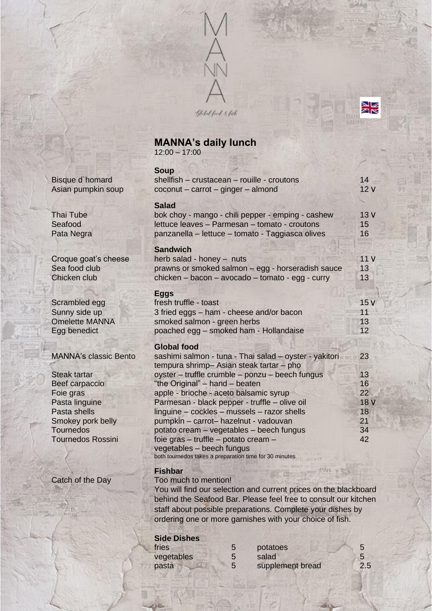

N<br>K

# **MANNA's daily lunch** 12:00 – 17:00

|                              | <b>Soup</b>                                            |             |
|------------------------------|--------------------------------------------------------|-------------|
| Bisque d'homard              | shellfish - crustacean - rouille - croutons            | 14          |
| Asian pumpkin soup           | coconut - carrot - ginger - almond                     | 12V         |
|                              | <b>Salad</b>                                           |             |
| <b>Thai Tube</b>             | bok choy - mango - chili pepper - emping - cashew      | 13V         |
| Seafood                      | lettuce leaves - Parmesan - tomato - croutons          | 15          |
| Pata Negra                   | panzanella - lettuce - tomato - Taggiasca olives       | 16          |
|                              | <b>Sandwich</b>                                        |             |
| Croque goat's cheese         | herb salad - honey - nuts                              | 11V         |
| Sea food club                | prawns or smoked salmon - egg - horseradish sauce      | 13          |
| Chicken club                 | chicken - bacon - avocado - tomato - egg - curry       | 13          |
|                              | <b>Eggs</b>                                            |             |
| Scrambled egg                | fresh truffle - toast                                  | 15V         |
| Sunny side up                | 3 fried eggs - ham - cheese and/or bacon               | 11          |
| <b>Omelette MANNA</b>        | smoked salmon - green herbs                            | 13          |
| Egg benedict                 | poached egg - smoked ham - Hollandaise                 | 12          |
|                              | <b>Global food</b>                                     |             |
| <b>MANNA's classic Bento</b> | sashimi salmon - tuna - Thai salad - oyster - yakitori | 23          |
|                              | tempura shrimp- Asian steak tartar - pho               |             |
| <b>Steak tartar</b>          | oyster - truffle crumble - ponzu - beech fungus        | 13          |
| <b>Beef carpaccio</b>        | "the Original" - hand - beaten                         | 16          |
| Foie gras                    | apple - brioche - aceto balsamic syrup                 | 22          |
| Pasta linguine               | Parmesan - black pepper - truffle - olive oil          | <b>18 V</b> |
| Pasta shells                 | linguine - cockles - mussels - razor shells            | 18          |
| Smokey pork belly            | pumpkin - carrot- hazelnut - vadouvan                  | 21          |
| <b>Tournedos</b>             | potato cream – vegetables – beech fungus               | 34          |
| <b>Tournedos Rossini</b>     | foie gras - truffle - potato cream -                   | 42          |
|                              | vegetables - beech fungus                              |             |
|                              | both tournedos takes a preparation time for 30 minutes |             |

#### **Fishbar**

Catch of the Day Too much to mention!

You will find our selection and current prices on the blackboard behind the Seafood Bar. Please feel free to consult our kitchen staff about possible preparations. Complete your dishes by ordering one or more garnishes with your choice of fish.

### **Side Dishes**

| fries      | potatoes         |     |
|------------|------------------|-----|
| vegetables | salad            |     |
| pasta      | supplement bread | 2.5 |

### MANNA's classic Bento